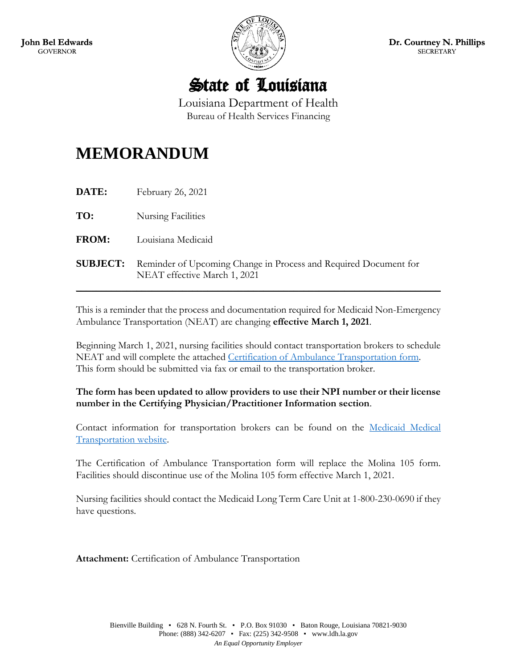



Louisiana Department of Health Bureau of Health Services Financing

# **MEMORANDUM**

**DATE:** February 26, 2021

**TO:** Nursing Facilities

- **FROM:** Louisiana Medicaid
- **SUBJECT:** Reminder of Upcoming Change in Process and Required Document for NEAT effective March 1, 2021

This is a reminder that the process and documentation required for Medicaid Non-Emergency Ambulance Transportation (NEAT) are changing **effective March 1, 2021**.

\_\_\_\_\_\_\_\_\_\_\_\_\_\_\_\_\_\_\_\_\_\_\_\_\_\_\_\_\_\_\_\_\_\_\_\_\_\_\_\_\_\_\_\_\_\_\_\_\_\_\_\_\_\_\_\_\_\_\_\_\_\_\_\_\_\_\_\_\_\_\_\_

Beginning March 1, 2021, nursing facilities should contact transportation brokers to schedule NEAT and will complete the attached [Certification of Ambulance Transportation form.](https://ldh.la.gov/assets/medicaid/Certification_of_Ambulance_Transportation_Final.pdf) This form should be submitted via fax or email to the transportation broker.

# **The form has been updated to allow providers to use their NPI number or their license number in the Certifying Physician/Practitioner Information section**.

Contact information for transportation brokers can be found on the [Medicaid Medical](https://ldh.la.gov/index.cfm/page/352)  [Transportation website.](https://ldh.la.gov/index.cfm/page/352)

The Certification of Ambulance Transportation form will replace the Molina 105 form. Facilities should discontinue use of the Molina 105 form effective March 1, 2021.

Nursing facilities should contact the Medicaid Long Term Care Unit at 1-800-230-0690 if they have questions.

**Attachment:** Certification of Ambulance Transportation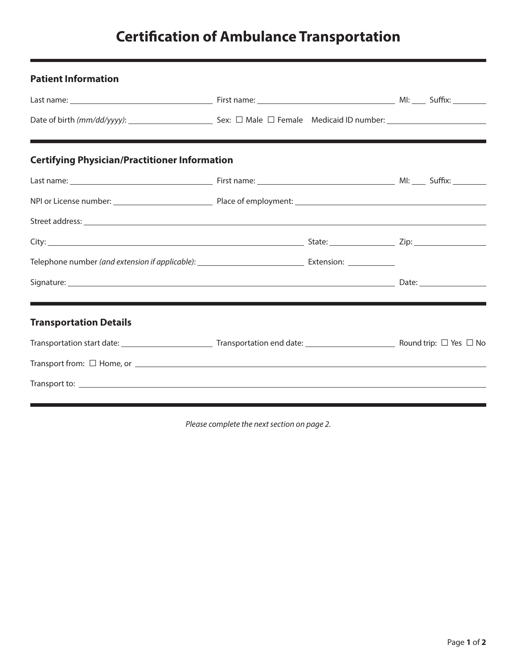# **Certification of Ambulance Transportation**

| <b>Patient Information</b>                                                                                                                                           |  |  |
|----------------------------------------------------------------------------------------------------------------------------------------------------------------------|--|--|
|                                                                                                                                                                      |  |  |
| ,一个人的人都是一个人的人,但是,我们的人都是一个人的人,我们就是一个人的人,我们就是一个人的人,我们就是一个人的人,我们就是一个人的人,我们就是一个人的人,我<br>第一百一十一章 一个人的人,我们就是一个人的人,我们就是一个人的人,我们就是一个人的人,我们就是一个人的人,我们就是一个人的人,我们就是一个人的人,我们就是一个 |  |  |
| <b>Certifying Physician/Practitioner Information</b>                                                                                                                 |  |  |
|                                                                                                                                                                      |  |  |
|                                                                                                                                                                      |  |  |
|                                                                                                                                                                      |  |  |
|                                                                                                                                                                      |  |  |
|                                                                                                                                                                      |  |  |
|                                                                                                                                                                      |  |  |
| <b>Transportation Details</b>                                                                                                                                        |  |  |
|                                                                                                                                                                      |  |  |
| Transport from: $\Box$ Home, or $\Box$                                                                                                                               |  |  |
|                                                                                                                                                                      |  |  |

*Please complete the next section on page 2.*